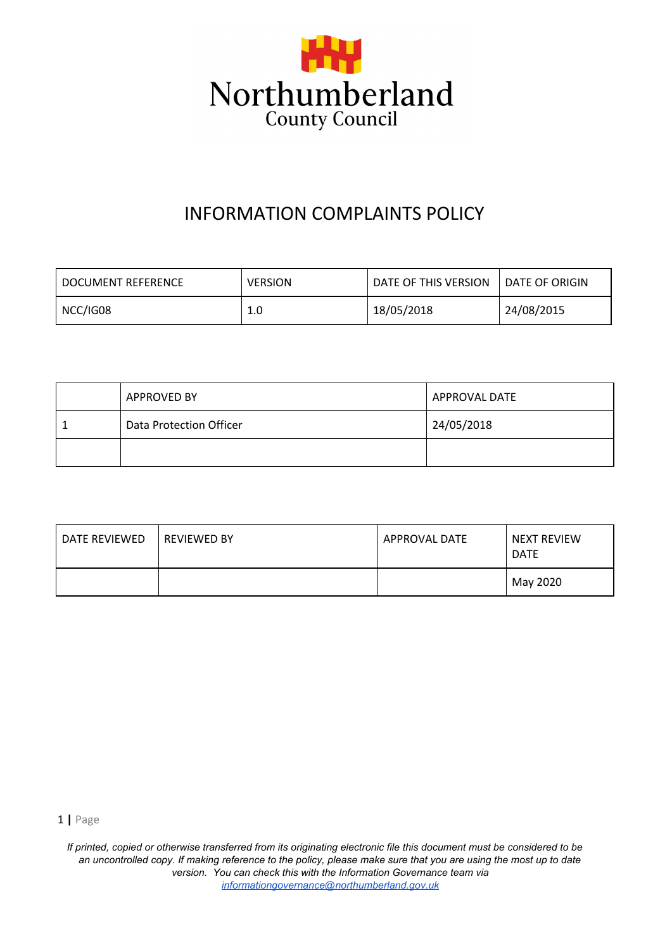

# INFORMATION COMPLAINTS POLICY

| I DOCUMENT REFERENCE | <b>VERSION</b> | DATE OF THIS VERSION | l DATE OF ORIGIN |
|----------------------|----------------|----------------------|------------------|
| NCC/IG08             | 1.0            | 18/05/2018           | 24/08/2015       |

| <b>APPROVED BY</b>      | <b>APPROVAL DATE</b> |  |
|-------------------------|----------------------|--|
| Data Protection Officer | 24/05/2018           |  |
|                         |                      |  |

| DATE REVIEWED | <b>REVIEWED BY</b> | APPROVAL DATE | NEXT REVIEW<br><b>DATE</b> |
|---------------|--------------------|---------------|----------------------------|
|               |                    |               | May 2020                   |

1 **|** Page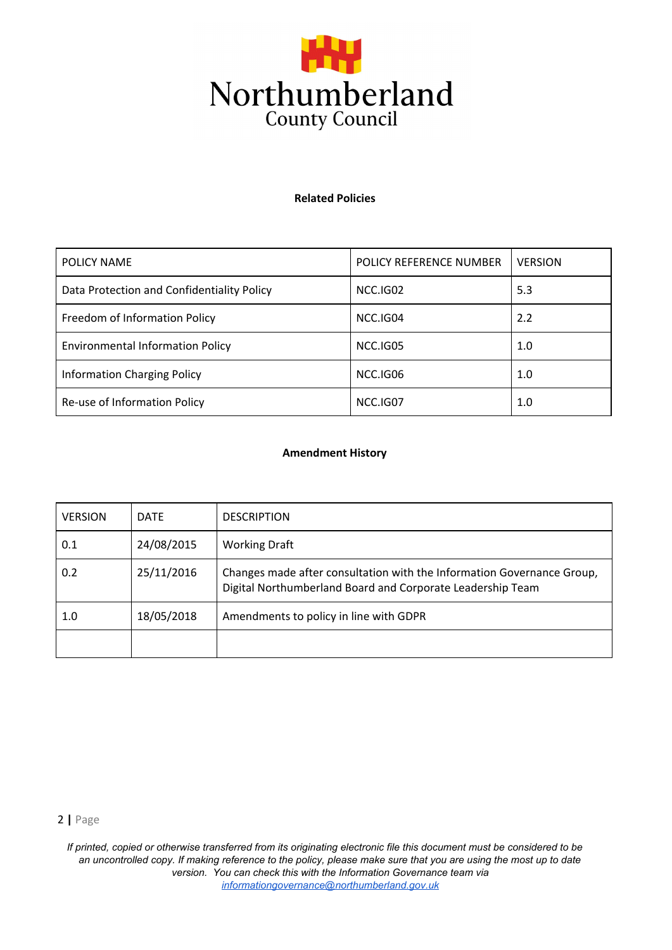

#### **Related Policies**

| POLICY NAME                                | POLICY REFERENCE NUMBER | <b>VERSION</b> |
|--------------------------------------------|-------------------------|----------------|
| Data Protection and Confidentiality Policy | NCC.IG02                | 5.3            |
| Freedom of Information Policy              | NCC.IG04                | 2.2            |
| <b>Environmental Information Policy</b>    | NCC.IG05                | 1.0            |
| <b>Information Charging Policy</b>         | NCC.IG06                | 1.0            |
| Re-use of Information Policy               | NCC.IG07                | 1.0            |

#### **Amendment History**

| <b>VERSION</b> | <b>DATE</b> | <b>DESCRIPTION</b>                                                                                                                   |
|----------------|-------------|--------------------------------------------------------------------------------------------------------------------------------------|
| 0.1            | 24/08/2015  | <b>Working Draft</b>                                                                                                                 |
| 0.2            | 25/11/2016  | Changes made after consultation with the Information Governance Group,<br>Digital Northumberland Board and Corporate Leadership Team |
| 1.0            | 18/05/2018  | Amendments to policy in line with GDPR                                                                                               |
|                |             |                                                                                                                                      |

2 **|** Page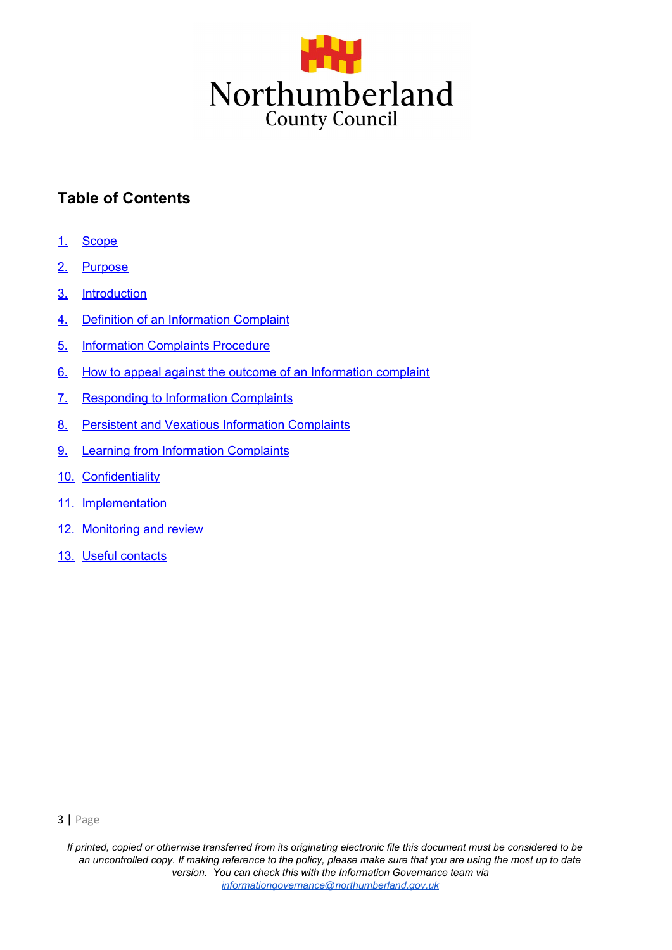

## **Table of Contents**

- 1. Scope
- 2. Purpose
- 3. Introduction
- 4. Definition of an Information Complaint
- 5. Information Complaints Procedure
- 6. How to appeal against the outcome of an Information complaint
- 7. Responding to Information Complaints
- 8. Persistent and Vexatious Information Complaints
- 9. Learning from Information Complaints
- 10. Confidentiality
- 11. Implementation
- 12. Monitoring and review
- 13. Useful contacts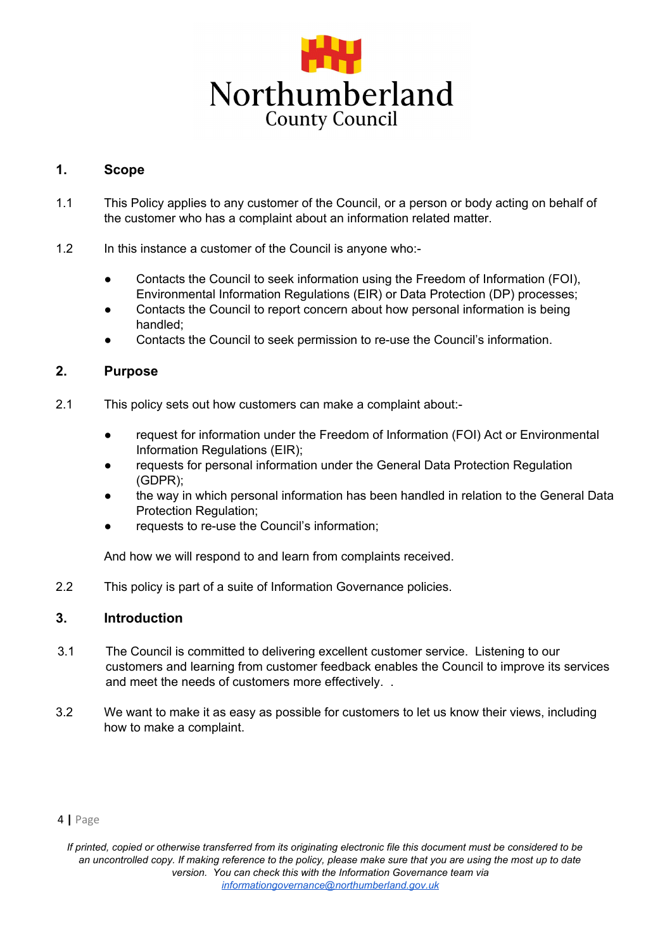

## **1. Scope**

- 1.1 This Policy applies to any customer of the Council, or a person or body acting on behalf of the customer who has a complaint about an information related matter.
- 1.2 In this instance a customer of the Council is anyone who:-
	- Contacts the Council to seek information using the Freedom of Information (FOI), Environmental Information Regulations (EIR) or Data Protection (DP) processes;
	- Contacts the Council to report concern about how personal information is being handled;
	- Contacts the Council to seek permission to re-use the Council's information.

## **2. Purpose**

- 2.1 This policy sets out how customers can make a complaint about:-
	- request for information under the Freedom of Information (FOI) Act or Environmental Information Regulations (EIR);
	- requests for personal information under the General Data Protection Regulation (GDPR);
	- the way in which personal information has been handled in relation to the General Data Protection Regulation;
	- requests to re-use the Council's information;

And how we will respond to and learn from complaints received.

2.2 This policy is part of a suite of Information Governance policies.

## **3. Introduction**

- 3.1 The Council is committed to delivering excellent customer service. Listening to our customers and learning from customer feedback enables the Council to improve its services and meet the needs of customers more effectively. .
- 3.2 We want to make it as easy as possible for customers to let us know their views, including how to make a complaint.

#### 4 **|** Page

*If printed, copied or otherwise transferred from its originating electronic file this document must be considered to be an uncontrolled copy. If making reference to the policy, please make sure that you are using the most up to date version. You can check this with the Information Governance team via informationgovernance@northumberland.gov.uk*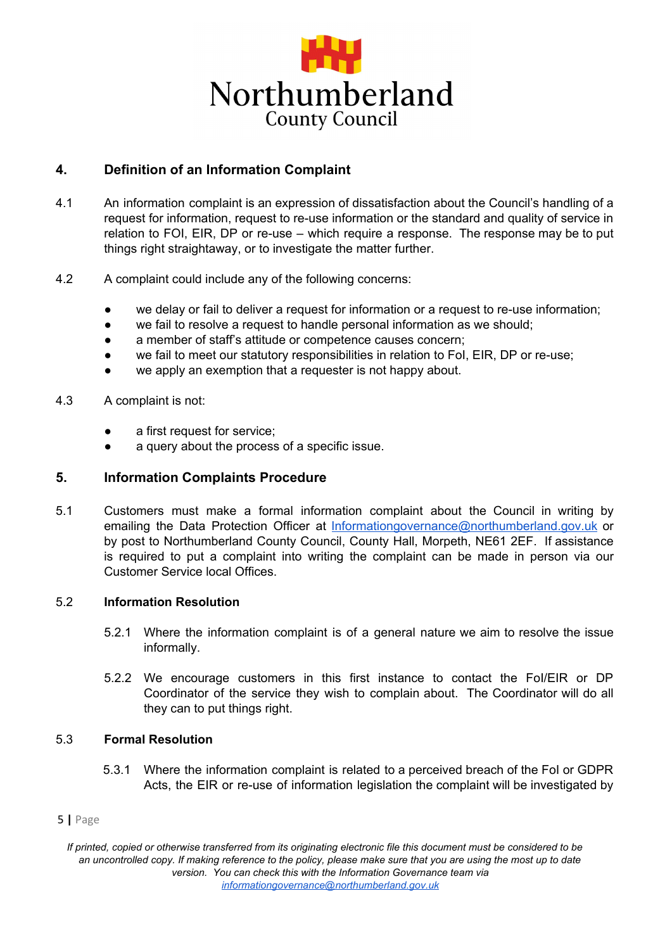

## **4. Definition of an Information Complaint**

- 4.1 An information complaint is an expression of dissatisfaction about the Council's handling of a request for information, request to re-use information or the standard and quality of service in relation to FOI, EIR, DP or re-use – which require a response. The response may be to put things right straightaway, or to investigate the matter further.
- 4.2 A complaint could include any of the following concerns:
	- we delay or fail to deliver a request for information or a request to re-use information;
	- we fail to resolve a request to handle personal information as we should;
	- a member of staff's attitude or competence causes concern;
	- we fail to meet our statutory responsibilities in relation to FoI, EIR, DP or re-use;
	- we apply an exemption that a requester is not happy about.
- 4.3 A complaint is not:
	- a first request for service;
	- a query about the process of a specific issue.

#### **5. Information Complaints Procedure**

5.1 Customers must make a formal information complaint about the Council in writing by emailing the Data Protection Officer at Informationgovernance@northumberland.gov.uk or by post to Northumberland County Council, County Hall, Morpeth, NE61 2EF. If assistance is required to put a complaint into writing the complaint can be made in person via our Customer Service local Offices.

#### 5.2 **Information Resolution**

- 5.2.1 Where the information complaint is of a general nature we aim to resolve the issue informally.
- 5.2.2 We encourage customers in this first instance to contact the FoI/EIR or DP Coordinator of the service they wish to complain about. The Coordinator will do all they can to put things right.

#### 5.3 **Formal Resolution**

5.3.1 Where the information complaint is related to a perceived breach of the FoI or GDPR Acts, the EIR or re-use of information legislation the complaint will be investigated by

#### 5 **|** Page

*If printed, copied or otherwise transferred from its originating electronic file this document must be considered to be an uncontrolled copy. If making reference to the policy, please make sure that you are using the most up to date version. You can check this with the Information Governance team via informationgovernance@northumberland.gov.uk*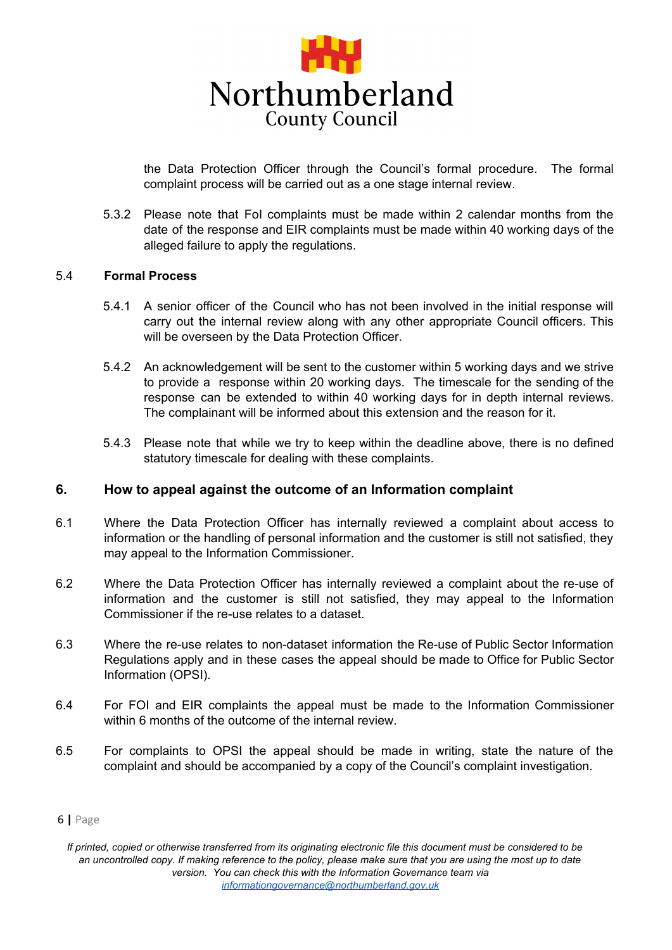

the Data Protection Officer through the Council's formal procedure. The formal complaint process will be carried out as a one stage internal review.

5.3.2 Please note that FoI complaints must be made within 2 calendar months from the date of the response and EIR complaints must be made within 40 working days of the alleged failure to apply the regulations.

#### 5.4 **Formal Process**

- 5.4.1 A senior officer of the Council who has not been involved in the initial response will carry out the internal review along with any other appropriate Council officers. This will be overseen by the Data Protection Officer.
- 5.4.2 An acknowledgement will be sent to the customer within 5 working days and we strive to provide a response within 20 working days. The timescale for the sending of the response can be extended to within 40 working days for in depth internal reviews. The complainant will be informed about this extension and the reason for it.
- 5.4.3 Please note that while we try to keep within the deadline above, there is no defined statutory timescale for dealing with these complaints.

#### **6. How to appeal against the outcome of an Information complaint**

- 6.1 Where the Data Protection Officer has internally reviewed a complaint about access to information or the handling of personal information and the customer is still not satisfied, they may appeal to the Information Commissioner.
- 6.2 Where the Data Protection Officer has internally reviewed a complaint about the re-use of information and the customer is still not satisfied, they may appeal to the Information Commissioner if the re-use relates to a dataset.
- 6.3 Where the re-use relates to non-dataset information the Re-use of Public Sector Information Regulations apply and in these cases the appeal should be made to Office for Public Sector Information (OPSI).
- 6.4 For FOI and EIR complaints the appeal must be made to the Information Commissioner within 6 months of the outcome of the internal review.
- 6.5 For complaints to OPSI the appeal should be made in writing, state the nature of the complaint and should be accompanied by a copy of the Council's complaint investigation.

<sup>6</sup> **|** Page

*If printed, copied or otherwise transferred from its originating electronic file this document must be considered to be an uncontrolled copy. If making reference to the policy, please make sure that you are using the most up to date version. You can check this with the Information Governance team via informationgovernance@northumberland.gov.uk*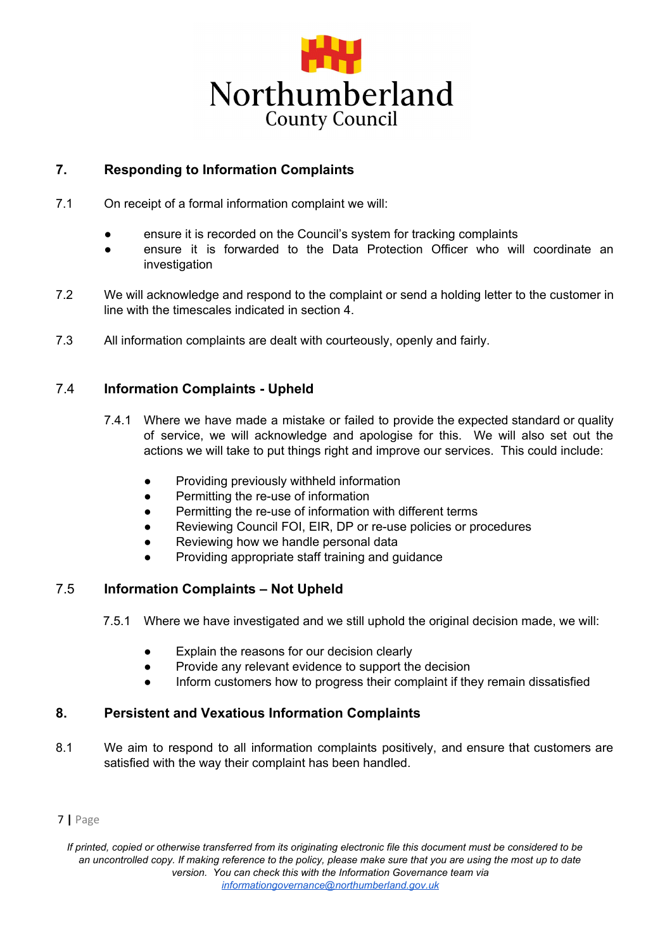

## **7. Responding to Information Complaints**

- 7.1 On receipt of a formal information complaint we will:
	- ensure it is recorded on the Council's system for tracking complaints
	- **●** ensure it is forwarded to the Data Protection Officer who will coordinate an investigation
- 7.2 We will acknowledge and respond to the complaint or send a holding letter to the customer in line with the timescales indicated in section 4.
- 7.3 All information complaints are dealt with courteously, openly and fairly.

## 7.4 **Information Complaints - Upheld**

- 7.4.1 Where we have made a mistake or failed to provide the expected standard or quality of service, we will acknowledge and apologise for this. We will also set out the actions we will take to put things right and improve our services. This could include:
	- Providing previously withheld information
	- Permitting the re-use of information
	- Permitting the re-use of information with different terms
	- Reviewing Council FOI, EIR, DP or re-use policies or procedures
	- Reviewing how we handle personal data
	- Providing appropriate staff training and guidance

## 7.5 **Information Complaints – Not Upheld**

- 7.5.1 Where we have investigated and we still uphold the original decision made, we will:
	- Explain the reasons for our decision clearly
	- Provide any relevant evidence to support the decision
	- Inform customers how to progress their complaint if they remain dissatisfied

## **8. Persistent and Vexatious Information Complaints**

8.1 We aim to respond to all information complaints positively, and ensure that customers are satisfied with the way their complaint has been handled.

#### 7 **|** Page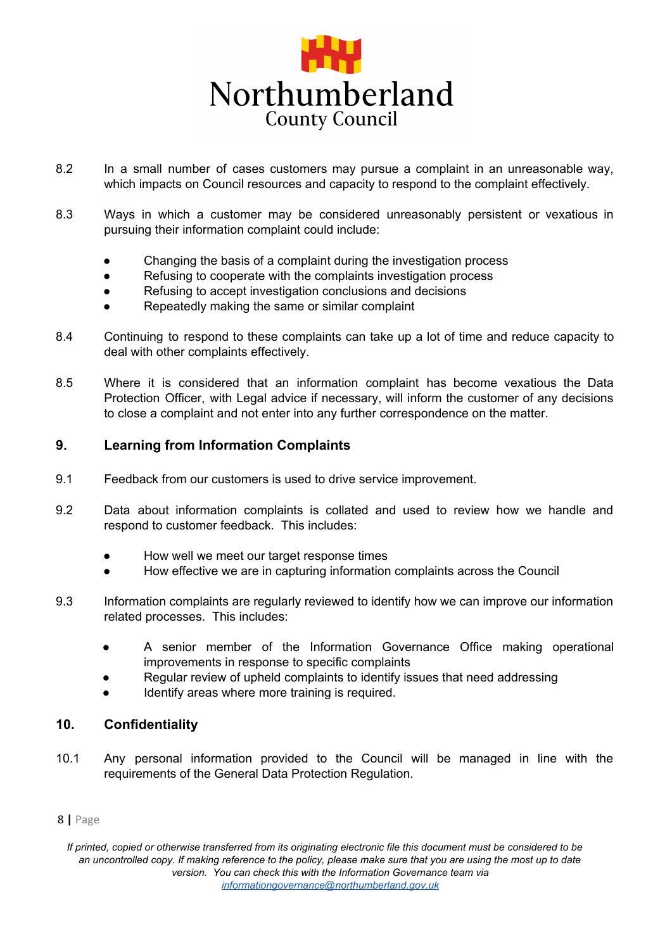

- 8.2 In a small number of cases customers may pursue a complaint in an unreasonable way, which impacts on Council resources and capacity to respond to the complaint effectively.
- 8.3 Ways in which a customer may be considered unreasonably persistent or vexatious in pursuing their information complaint could include:
	- Changing the basis of a complaint during the investigation process
	- Refusing to cooperate with the complaints investigation process
	- Refusing to accept investigation conclusions and decisions
	- Repeatedly making the same or similar complaint
- 8.4 Continuing to respond to these complaints can take up a lot of time and reduce capacity to deal with other complaints effectively.
- 8.5 Where it is considered that an information complaint has become vexatious the Data Protection Officer, with Legal advice if necessary, will inform the customer of any decisions to close a complaint and not enter into any further correspondence on the matter.

## **9. Learning from Information Complaints**

- 9.1 Feedback from our customers is used to drive service improvement.
- 9.2 Data about information complaints is collated and used to review how we handle and respond to customer feedback. This includes:
	- How well we meet our target response times
	- How effective we are in capturing information complaints across the Council
- 9.3 Information complaints are regularly reviewed to identify how we can improve our information related processes. This includes:
	- A senior member of the Information Governance Office making operational improvements in response to specific complaints
	- Regular review of upheld complaints to identify issues that need addressing
	- Identify areas where more training is required.

## **10. Confidentiality**

10.1 Any personal information provided to the Council will be managed in line with the requirements of the General Data Protection Regulation.

#### 8 **|** Page

*If printed, copied or otherwise transferred from its originating electronic file this document must be considered to be an uncontrolled copy. If making reference to the policy, please make sure that you are using the most up to date version. You can check this with the Information Governance team via informationgovernance@northumberland.gov.uk*